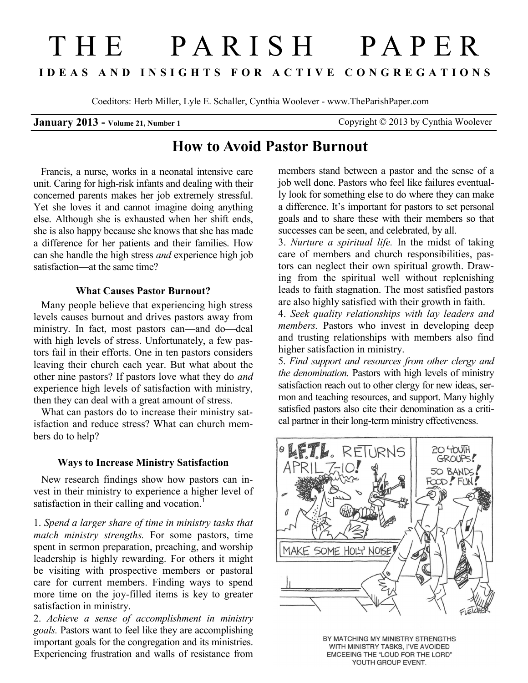# THE PAR IS H PAPE R **IDEAS AND INSIGHTS FOR ACTIVE CONGREGATIONS**

Coeditors: Herb Miller, Lyle E. Schaller, Cynthia Woolever - www.TheParishPaper.com

**January 2013 - Volume 21, Number 1** Copyright © 2013 by Cynthia Woolever

## **How to Avoid Pastor Burnout**

 Francis, a nurse, works in a neonatal intensive care unit. Caring for high-risk infants and dealing with their concerned parents makes her job extremely stressful. Yet she loves it and cannot imagine doing anything else. Although she is exhausted when her shift ends, she is also happy because she knows that she has made a difference for her patients and their families. How can she handle the high stress *and* experience high job satisfaction—at the same time?

#### **What Causes Pastor Burnout?**

 Many people believe that experiencing high stress levels causes burnout and drives pastors away from ministry. In fact, most pastors can—and do—deal with high levels of stress. Unfortunately, a few pastors fail in their efforts. One in ten pastors considers leaving their church each year. But what about the other nine pastors? If pastors love what they do *and* experience high levels of satisfaction with ministry, then they can deal with a great amount of stress.

 What can pastors do to increase their ministry satisfaction and reduce stress? What can church members do to help?

#### **Ways to Increase Ministry Satisfaction**

 New research findings show how pastors can invest in their ministry to experience a higher level of satisfaction in their calling and vocation.<sup>1</sup>

1. *Spend a larger share of time in ministry tasks that match ministry strengths.* For some pastors, time spent in sermon preparation, preaching, and worship leadership is highly rewarding. For others it might be visiting with prospective members or pastoral care for current members. Finding ways to spend more time on the joy-filled items is key to greater satisfaction in ministry.

2. *Achieve a sense of accomplishment in ministry goals.* Pastors want to feel like they are accomplishing important goals for the congregation and its ministries. Experiencing frustration and walls of resistance from

members stand between a pastor and the sense of a job well done. Pastors who feel like failures eventually look for something else to do where they can make a difference. It's important for pastors to set personal goals and to share these with their members so that successes can be seen, and celebrated, by all.

3. *Nurture a spiritual life.* In the midst of taking care of members and church responsibilities, pastors can neglect their own spiritual growth. Drawing from the spiritual well without replenishing leads to faith stagnation. The most satisfied pastors are also highly satisfied with their growth in faith.

4. *Seek quality relationships with lay leaders and members*. Pastors who invest in developing deep and trusting relationships with members also find higher satisfaction in ministry.

5. *Find support and resources from other clergy and the denomination.* Pastors with high levels of ministry satisfaction reach out to other clergy for new ideas, sermon and teaching resources, and support. Many highly satisfied pastors also cite their denomination as a critical partner in their long-term ministry effectiveness.



BY MATCHING MY MINISTRY STRENGTHS WITH MINISTRY TASKS, I'VE AVOIDED EMCEEING THE "LOUD FOR THE LORD" YOUTH GROUP EVENT.